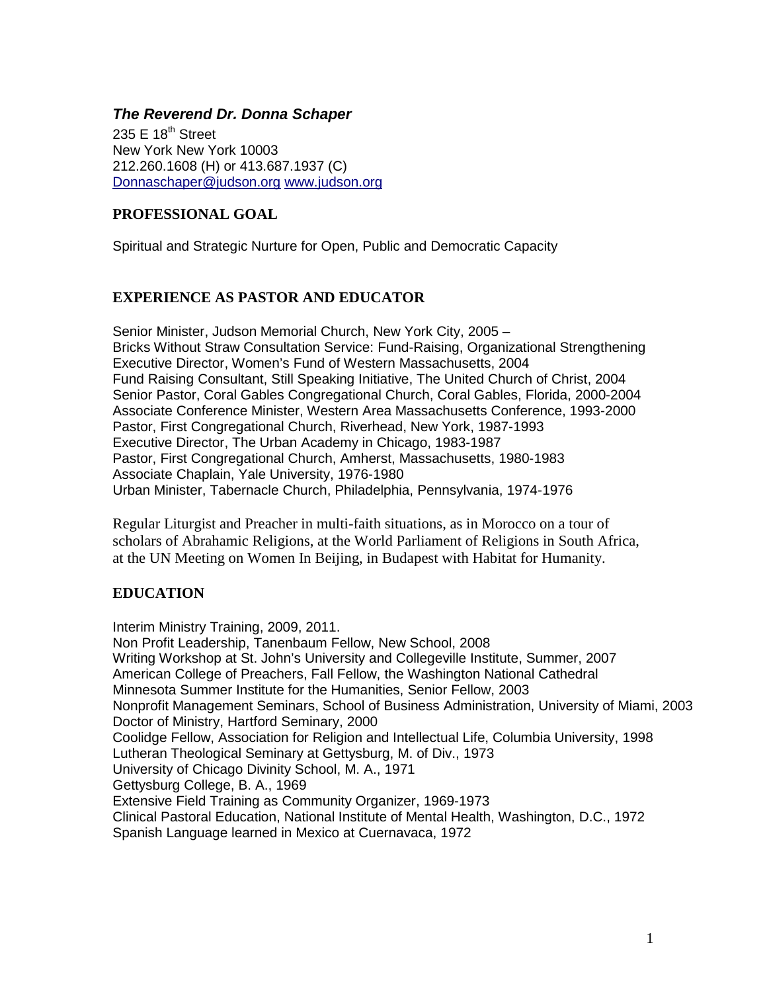### *The Reverend Dr. Donna Schaper*

235 E  $18^{th}$  Street New York New York 10003 212.260.1608 (H) or 413.687.1937 (C) [Donnaschaper@judson.org](mailto:Donnaschaper@judson.org) [www.judson.org](http://www.judson.org/)

## **PROFESSIONAL GOAL**

Spiritual and Strategic Nurture for Open, Public and Democratic Capacity

## **EXPERIENCE AS PASTOR AND EDUCATOR**

Senior Minister, Judson Memorial Church, New York City, 2005 – Bricks Without Straw Consultation Service: Fund-Raising, Organizational Strengthening Executive Director, Women's Fund of Western Massachusetts, 2004 Fund Raising Consultant, Still Speaking Initiative, The United Church of Christ, 2004 Senior Pastor, Coral Gables Congregational Church, Coral Gables, Florida, 2000-2004 Associate Conference Minister, Western Area Massachusetts Conference, 1993-2000 Pastor, First Congregational Church, Riverhead, New York, 1987-1993 Executive Director, The Urban Academy in Chicago, 1983-1987 Pastor, First Congregational Church, Amherst, Massachusetts, 1980-1983 Associate Chaplain, Yale University, 1976-1980 Urban Minister, Tabernacle Church, Philadelphia, Pennsylvania, 1974-1976

Regular Liturgist and Preacher in multi-faith situations, as in Morocco on a tour of scholars of Abrahamic Religions, at the World Parliament of Religions in South Africa, at the UN Meeting on Women In Beijing, in Budapest with Habitat for Humanity.

# **EDUCATION**

Interim Ministry Training, 2009, 2011. Non Profit Leadership, Tanenbaum Fellow, New School, 2008 Writing Workshop at St. John's University and Collegeville Institute, Summer, 2007 American College of Preachers, Fall Fellow, the Washington National Cathedral Minnesota Summer Institute for the Humanities, Senior Fellow, 2003 Nonprofit Management Seminars, School of Business Administration, University of Miami, 2003 Doctor of Ministry, Hartford Seminary, 2000 Coolidge Fellow, Association for Religion and Intellectual Life, Columbia University, 1998 Lutheran Theological Seminary at Gettysburg, M. of Div., 1973 University of Chicago Divinity School, M. A., 1971 Gettysburg College, B. A., 1969 Extensive Field Training as Community Organizer, 1969-1973 Clinical Pastoral Education, National Institute of Mental Health, Washington, D.C., 1972 Spanish Language learned in Mexico at Cuernavaca, 1972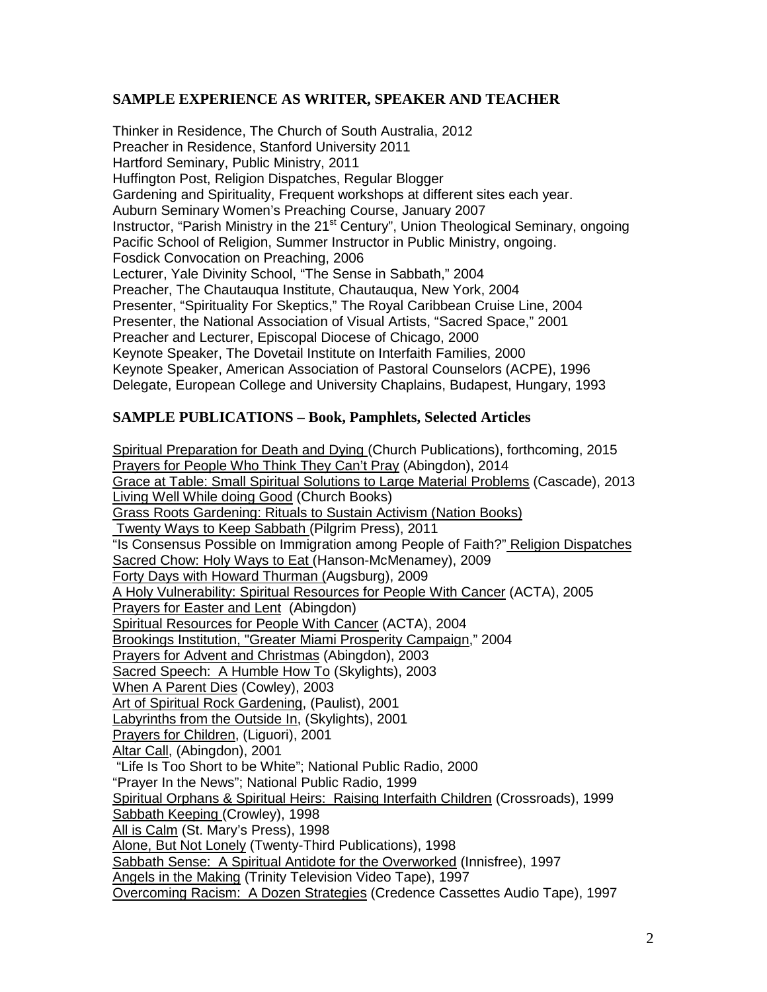### **SAMPLE EXPERIENCE AS WRITER, SPEAKER AND TEACHER**

Thinker in Residence, The Church of South Australia, 2012 Preacher in Residence, Stanford University 2011 Hartford Seminary, Public Ministry, 2011 Huffington Post, Religion Dispatches, Regular Blogger Gardening and Spirituality, Frequent workshops at different sites each year. Auburn Seminary Women's Preaching Course, January 2007 Instructor, "Parish Ministry in the 21<sup>st</sup> Century", Union Theological Seminary, ongoing Pacific School of Religion, Summer Instructor in Public Ministry, ongoing. Fosdick Convocation on Preaching, 2006 Lecturer, Yale Divinity School, "The Sense in Sabbath," 2004 Preacher, The Chautauqua Institute, Chautauqua, New York, 2004 Presenter, "Spirituality For Skeptics," The Royal Caribbean Cruise Line, 2004 Presenter, the National Association of Visual Artists, "Sacred Space," 2001 Preacher and Lecturer, Episcopal Diocese of Chicago, 2000 Keynote Speaker, The Dovetail Institute on Interfaith Families, 2000 Keynote Speaker, American Association of Pastoral Counselors (ACPE), 1996 Delegate, European College and University Chaplains, Budapest, Hungary, 1993

# **SAMPLE PUBLICATIONS – Book, Pamphlets, Selected Articles**

Spiritual Preparation for Death and Dying (Church Publications), forthcoming, 2015 Prayers for People Who Think They Can't Pray (Abingdon), 2014 Grace at Table: Small Spiritual Solutions to Large Material Problems (Cascade), 2013 Living Well While doing Good (Church Books) Grass Roots Gardening: Rituals to Sustain Activism (Nation Books) Twenty Ways to Keep Sabbath (Pilgrim Press), 2011 "Is Consensus Possible on Immigration among People of Faith?" Religion Dispatches Sacred Chow: Holy Ways to Eat (Hanson-McMenamey), 2009 Forty Days with Howard Thurman (Augsburg), 2009 A Holy Vulnerability: Spiritual Resources for People With Cancer (ACTA), 2005 Prayers for Easter and Lent (Abingdon) Spiritual Resources for People With Cancer (ACTA), 2004 Brookings Institution, "Greater Miami Prosperity Campaign," 2004 Prayers for Advent and Christmas (Abingdon), 2003 Sacred Speech: A Humble How To (Skylights), 2003 When A Parent Dies (Cowley), 2003 Art of Spiritual Rock Gardening, (Paulist), 2001 Labyrinths from the Outside In, (Skylights), 2001 Prayers for Children, (Liguori), 2001 Altar Call, (Abingdon), 2001 "Life Is Too Short to be White"; National Public Radio, 2000 "Prayer In the News"; National Public Radio, 1999 Spiritual Orphans & Spiritual Heirs: Raising Interfaith Children (Crossroads), 1999 Sabbath Keeping (Crowley), 1998 All is Calm (St. Mary's Press), 1998 Alone, But Not Lonely (Twenty-Third Publications), 1998 Sabbath Sense: A Spiritual Antidote for the Overworked (Innisfree), 1997 Angels in the Making (Trinity Television Video Tape), 1997 Overcoming Racism: A Dozen Strategies (Credence Cassettes Audio Tape), 1997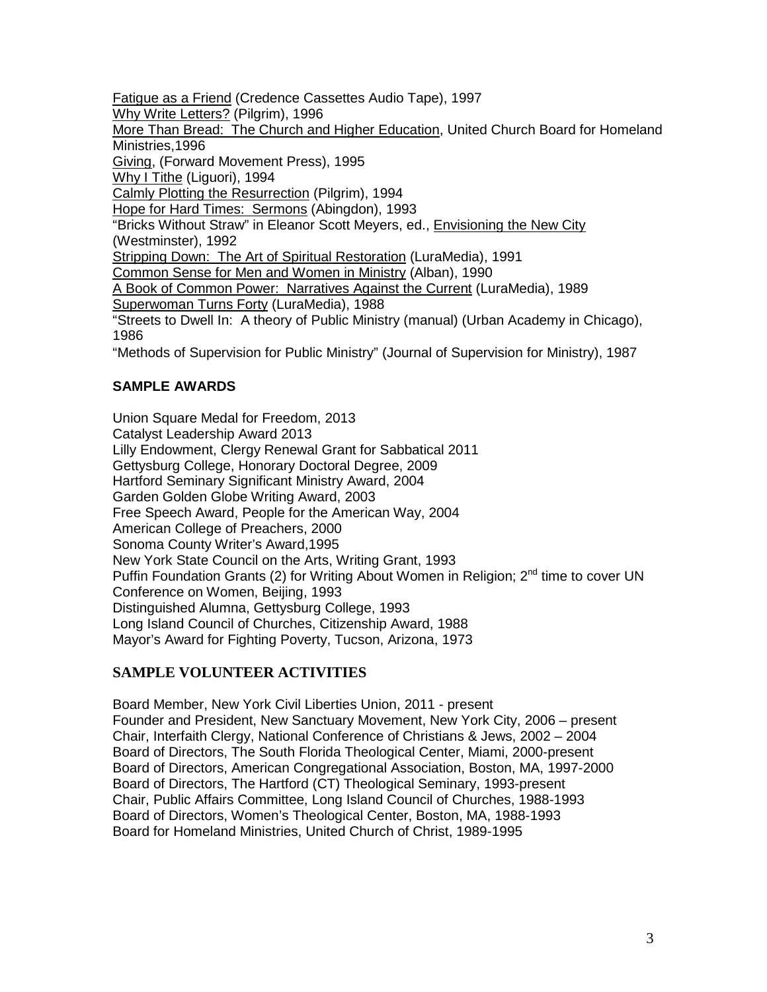Fatigue as a Friend (Credence Cassettes Audio Tape), 1997 Why Write Letters? (Pilgrim), 1996 More Than Bread: The Church and Higher Education, United Church Board for Homeland Ministries,1996 Giving, (Forward Movement Press), 1995 Why I Tithe (Liguori), 1994 Calmly Plotting the Resurrection (Pilgrim), 1994 Hope for Hard Times: Sermons (Abingdon), 1993 "Bricks Without Straw" in Eleanor Scott Meyers, ed., Envisioning the New City (Westminster), 1992 Stripping Down: The Art of Spiritual Restoration (LuraMedia), 1991 Common Sense for Men and Women in Ministry (Alban), 1990 A Book of Common Power: Narratives Against the Current (LuraMedia), 1989 Superwoman Turns Forty (LuraMedia), 1988 "Streets to Dwell In: A theory of Public Ministry (manual) (Urban Academy in Chicago), 1986 "Methods of Supervision for Public Ministry" (Journal of Supervision for Ministry), 1987

# **SAMPLE AWARDS**

Union Square Medal for Freedom, 2013 Catalyst Leadership Award 2013 Lilly Endowment, Clergy Renewal Grant for Sabbatical 2011 Gettysburg College, Honorary Doctoral Degree, 2009 Hartford Seminary Significant Ministry Award, 2004 Garden Golden Globe Writing Award, 2003 Free Speech Award, People for the American Way, 2004 American College of Preachers, 2000 Sonoma County Writer's Award,1995 New York State Council on the Arts, Writing Grant, 1993 Puffin Foundation Grants (2) for Writing About Women in Religion;  $2<sup>nd</sup>$  time to cover UN Conference on Women, Beijing, 1993 Distinguished Alumna, Gettysburg College, 1993 Long Island Council of Churches, Citizenship Award, 1988 Mayor's Award for Fighting Poverty, Tucson, Arizona, 1973

# **SAMPLE VOLUNTEER ACTIVITIES**

Board Member, New York Civil Liberties Union, 2011 - present Founder and President, New Sanctuary Movement, New York City, 2006 – present Chair, Interfaith Clergy, National Conference of Christians & Jews, 2002 – 2004 Board of Directors, The South Florida Theological Center, Miami, 2000-present Board of Directors, American Congregational Association, Boston, MA, 1997-2000 Board of Directors, The Hartford (CT) Theological Seminary, 1993-present Chair, Public Affairs Committee, Long Island Council of Churches, 1988-1993 Board of Directors, Women's Theological Center, Boston, MA, 1988-1993 Board for Homeland Ministries, United Church of Christ, 1989-1995